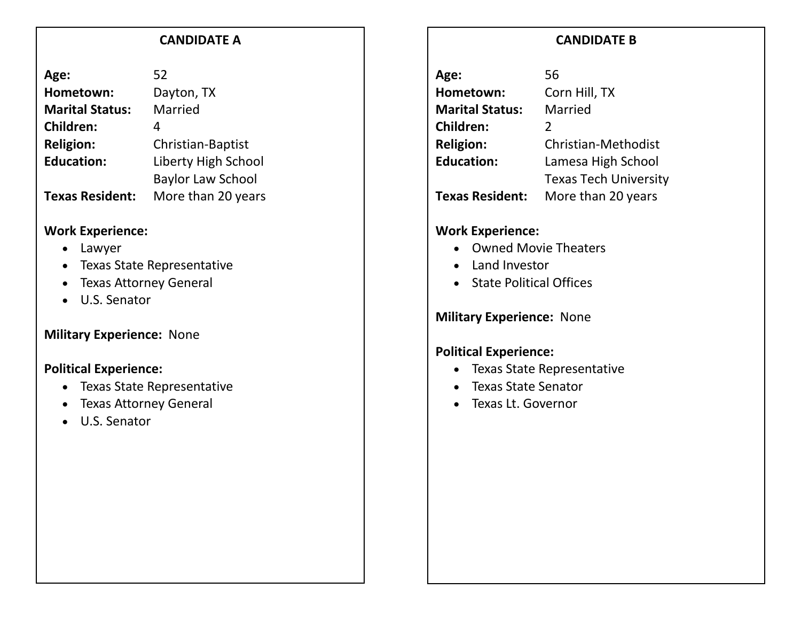#### **CANDIDATE A**

| 52                       |
|--------------------------|
| Dayton, TX               |
| Married                  |
| 4                        |
| Christian-Baptist        |
| Liberty High School      |
| <b>Baylor Law School</b> |
| More than 20 years       |
|                          |

#### **Work Experience:**

- Lawyer
- Texas State Representative
- Texas Attorney General
- U.S. Senator

### **Military Experience:** None

### **Political Experience:**

- Texas State Representative
- Texas Attorney General
- U.S. Senator

# **CANDIDATE B**

| Age:                   | 56                           |
|------------------------|------------------------------|
| Hometown:              | Corn Hill, TX                |
| <b>Marital Status:</b> | Married                      |
| <b>Children:</b>       | $\mathcal{L}$                |
| <b>Religion:</b>       | Christian-Methodist          |
| <b>Education:</b>      | Lamesa High School           |
|                        | <b>Texas Tech University</b> |
| <b>Texas Resident:</b> | More than 20 years           |

### **Work Experience:**

- Owned Movie Theaters
- Land Investor
- State Political Offices

**Military Experience:** None

### **Political Experience:**

- Texas State Representative
- Texas State Senator
- Texas Lt. Governor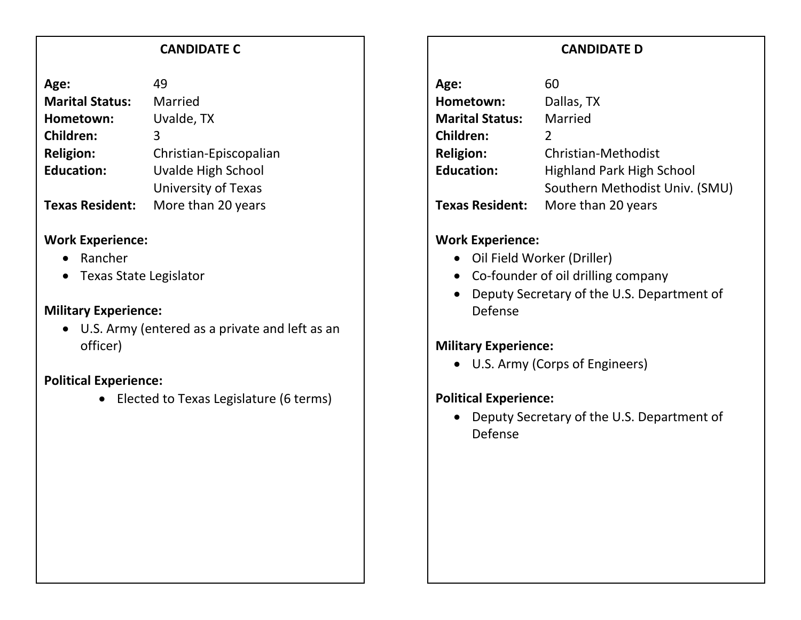#### **CANDIDATE C**

| Age:                   | 49                     |
|------------------------|------------------------|
| <b>Marital Status:</b> | Married                |
| Hometown:              | Uvalde, TX             |
| <b>Children:</b>       | 3                      |
| <b>Religion:</b>       | Christian-Episcopalian |
| <b>Education:</b>      | Uvalde High School     |
|                        | University of Texas    |
| <b>Texas Resident:</b> | More than 20 years     |

#### **Work Experience:**

- Rancher
- Texas State Legislator

## **Military Experience:**

• U.S. Army (entered as a private and left as an officer)

## **Political Experience:**

• Elected to Texas Legislature (6 terms)

# **CANDIDATE D**

| 60                               |
|----------------------------------|
| Dallas, TX                       |
| Married                          |
| $\mathcal{P}$                    |
| Christian-Methodist              |
| <b>Highland Park High School</b> |
| Southern Methodist Univ. (SMU)   |
| More than 20 years               |
|                                  |

# **Work Experience:**

- Oil Field Worker (Driller)
- Co-founder of oil drilling company
- Deputy Secretary of the U.S. Department of Defense

# **Military Experience:**

• U.S. Army (Corps of Engineers)

# **Political Experience:**

• Deputy Secretary of the U.S. Department of Defense